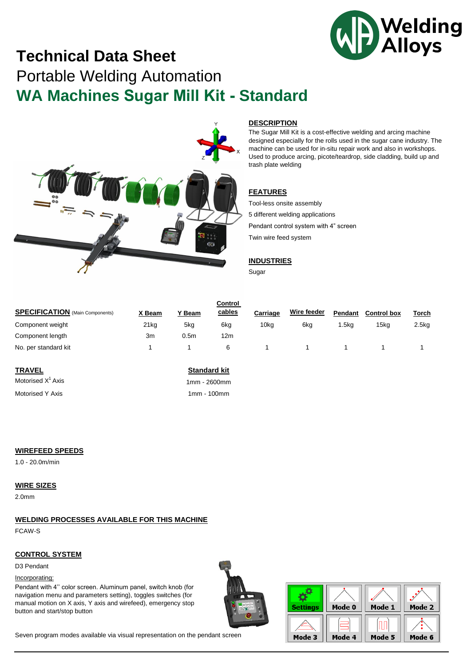

# **Technical Data Sheet** Portable Welding Automation **WA Machines Sugar Mill Kit - Standard**



#### **DESCRIPTION**

The Sugar Mill Kit is a cost-effective welding and arcing machine designed especially for the rolls used in the sugar cane industry. The machine can be used for in-situ repair work and also in workshops. Used to produce arcing, picote/teardrop, side cladding, build up and trash plate welding

### **FEATURES**

Tool-less onsite assembly 5 different welding applications Pendant control system with 4" screen Twin wire feed system

#### **INDUSTRIES**

Sugar

| <b>SPECIFICATION</b> (Main Components) | X Beam           | Y Beam           | Control<br>cables | Carriage | Wire feeder | Pendant | <b>Control box</b> | <u>Torch</u> |
|----------------------------------------|------------------|------------------|-------------------|----------|-------------|---------|--------------------|--------------|
| Component weight                       | 21 <sub>kg</sub> | 5kg              | 6kg               | 10ka     | 6ka         | .5ka    | 15ka               | 2.5kg        |
| Component length                       | 3m               | 0.5 <sub>m</sub> | 12m               |          |             |         |                    |              |
| No. per standard kit                   |                  |                  | 6                 |          |             |         |                    |              |

**TRAVEL** Motorised  $X<sup>1</sup>$  Axis

Motorised Y Axis

### **Standard kit**

1mm - 2600mm 1mm - 100mm

#### **WIREFEED SPEEDS**

1.0 - 20.0m/min

#### **WIRE SIZES**

2.0mm

## **WELDING PROCESSES AVAILABLE FOR THIS MACHINE**

FCAW-S

#### **CONTROL SYSTEM**

D3 Pendant

#### Incorporating:

Pendant with 4'' color screen. Aluminum panel, switch knob (for navigation menu and parameters setting), toggles switches (for manual motion on X axis, Y axis and wirefeed), emergency stop button and start/stop button





Seven program modes available via visual representation on the pendant screen